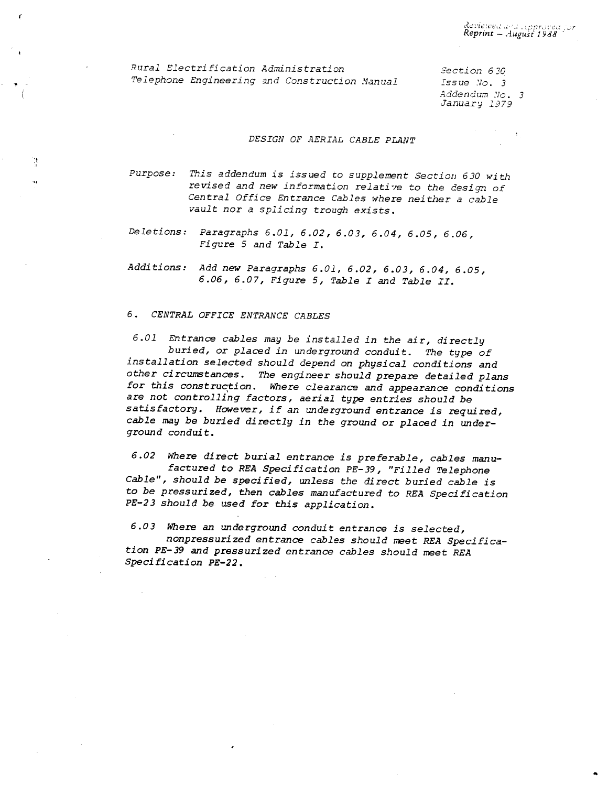Rural Electrification Administration Telephone Engineering and Construction Manual

(

'l -,

Section 6 30 Issue Vo. 3 .4ddendum No. 3 January 1979

#### DESIGN OF AERIAL CABLE PLANT

Purpose: This addendum is issued to supplement Section 630 with revised and new information relative to the design of Central Office Entrance Cables where neither a cable vault nor a splicing trough exists.

Deletions: Paragraphs 6.01, 6.02, 6.03, 6.04, 6.05, 6.06, Figure 5 and Table I.

Additions: Add new Paragraphs 6.01, 6.02, 6.03, 6.04, 6.05, 6.06, 6.07, Figure 5, Table I and Table II.

#### 6 • CENTRAL OFF ICE ENTRANCE CABLES

6.01 Entrance cables may be installed in the air, directly buried, or placed in underground conduit. The type of installation selected should depend on physical conditions and other circumstances. The engineer should prepare detailed plans for this construction. Where clearance and appearance conditions are not controlling factors, aerial type entries should be satisfactory. However, if an underground entrance is required, cable may be buried directly in the ground or placed in underground conduit.

6.02 Where direct burial entrance is preferable, cables manufactured to REA Specification PE-39, "Filled Telephone Cable", should be specified, unless the direct buried cable is to be pressurized, then cables manufactured to REA Specification PE-23 should be used for this application.

6.03 Where an underground conduit entrance is selected, nonpressurized entrance cables should meet REA Specification PE-39 and pressurized entrance cables should meet REA Specification PE-22.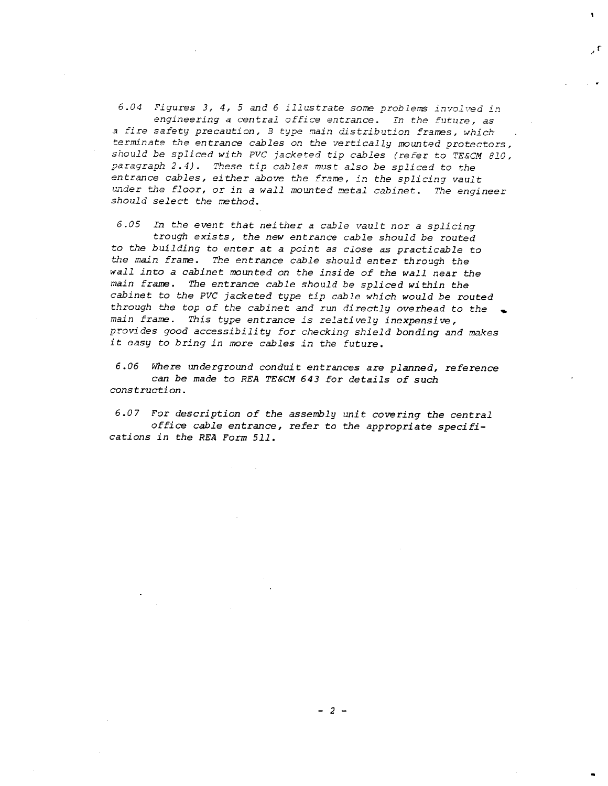*6.04 Figures 3, 4,* 5 *and 6 illustrate some problems i:J7olved in engineering a central office entrance. In the future, as <sup>a</sup>fire safety precaution, B type main distribution frames, which terminate t.l1e entrance cables on the vertically mounted protectors, should be spliced with PVC jacketed tip cables (refer to TE&CM 810, paragraph 2.4). These tip cables must also be spliced* to *the entrance cables, either above the frame, in the splicing vault under the floor, or in a wall mounted metal cabinet. The engineer should select the method.* 

,. r

*6.05 In the event that neither a cable vault nor a splicing trough exists, the new entrance cable should be routed to the building to enter at a point as close as practicable to*  t.'Je *main frame. The entrance cable should enter through the wall into a cabinet mounted on the inside of the wall near the main frame. The entrance cable should be spliced within the cabinet to the PVC jacketed type tip cable which would be routed through the top of the cabinet and run directly overhead to the*  .. *main frame. This type entrance is relatively inexpensive, pro,.rides good accessibility for checking shield bonding and makes it easy to bring in* more *cables in the future.* 

*6.06 Where underground conduit entrances* are *planned, reference can be made to REA TE&CM 643 for details of such construction.* 

*6.07* For *description of the assembly unit covering the central office cable entrance,* refer *to the appropriate specifications in the REA* Form *511.*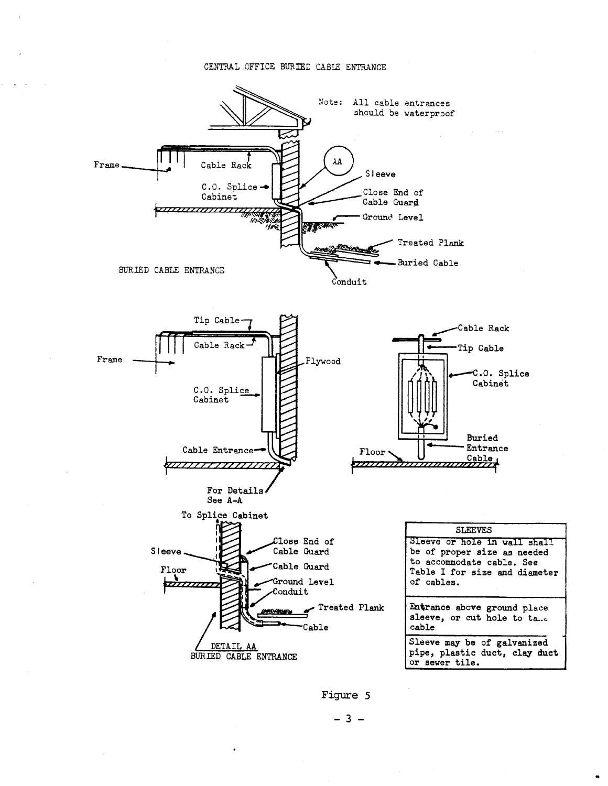### CENTRAL OFFICE BURIED CABLE ENTRANCE



Figure 5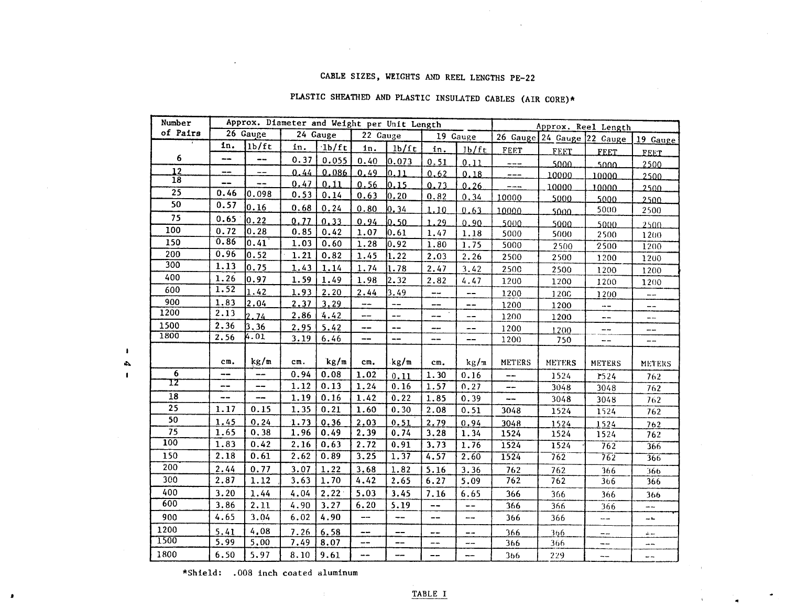## CABLE SIZES, WEIGHTS AND REEL LENGTHS PE-22

# PLASTIC SHEATHED AND PLASTIC INSULATED CABLES (AIR CORE)\*

| Number           |                      | Approx. Diameter and Weight per Unit Length |      |       |                          |                          |            |                          | Approx. Reel Length                 |               |                |               |  |
|------------------|----------------------|---------------------------------------------|------|-------|--------------------------|--------------------------|------------|--------------------------|-------------------------------------|---------------|----------------|---------------|--|
| of Pairs         | 26 Gauge<br>24 Gauge |                                             |      |       | 22 Cauge                 |                          | 19 Gauge   |                          | 26 Gauge 24 Gauge 22 Gauge 19 Gauge |               |                |               |  |
|                  | in.                  | 1b/ft                                       | in.  | 1b/ft | in.                      | 1 <sub>b</sub> /ft       | in.        | 1 <sub>b</sub> /ft       | FEET                                | FEET          | <b>FEET</b>    | <b>FEET</b>   |  |
| 6                | --                   | --                                          | 0.37 | 0.055 | 0.40                     | 0.073                    | 0.51       | 0.11                     | ----                                | 5000          | 5000           | 2500          |  |
| 12               | $\ddot{\phantom{a}}$ | $=$ $-$                                     | 0.44 | 0.086 | 0.49                     | 0.11                     | 0.62       | 0.18                     | ---                                 | 10000         | 10000          | 2500          |  |
| 18               | --                   |                                             | 0.47 | 0.11  | 0.56                     | 0.15                     | 0.73       | 0.26                     | $ -$                                | 10000         | 10000          | 2500          |  |
| $\overline{25}$  | 0.46                 | 0.098                                       | 0.53 | 0.14  | 0.63                     | 0.20                     | 0.82       | 0.34                     | 10000                               | 5000          | 5000           | 2500          |  |
| 50               | 0.57                 | 0.16                                        | 0.68 | 0.24  | 0.80                     | 0.34                     | 1.10       | 0.63                     | 10000                               | 5000          | 5000           | 2500          |  |
| 75               | 0.65                 | 0.22                                        | 0.77 | 0, 33 | 0.94                     | 10.50                    | 1.29       | 0.90                     | 5000                                | 5000          | 5000           | 2500          |  |
| 100              | 0.72                 | 0.28                                        | 0.85 | 0.42  | 1.07                     | 0.61                     | 1.47       | 1.18                     | 5000                                | 5000          | 2500           | 1200          |  |
| 150              | 0.86                 | 0.41                                        | 1.03 | 0.60  | 1.28                     | 0.92                     | 1.80       | 1.75                     | 5000                                | 2500          | 2500           | 1200          |  |
| 200              | 0.96                 | 0.52                                        | 1.21 | 0.82  | 1.45                     | 1.22                     | 2.03       | 2.26                     | 2500                                | 2500          | 1200           | 1200          |  |
| 300              | 1.13                 | 0.75                                        | 1.43 | 1.14  | 1.74                     | 1.78                     | 2.47       | 3.42                     | 2500                                | 2500          | 1200           | 1200          |  |
| 400              | 1.26                 | 0.97                                        | 1.59 | 1.49  | 1.98                     | 2.32                     | 2.82       | 4.47                     | 1200                                | 1200          | 1200           | 1200          |  |
| 600              | 1.52                 | 1.42                                        | 1.93 | 2.20  | 2.44                     | 3.49                     | $-\cdot$   | $\overline{\phantom{m}}$ | 1200                                | 1200          | 1200           | ----          |  |
| 900              | 1.83                 | 2.04                                        | 2.37 | 3.29  | --                       | $\overline{\phantom{a}}$ | $- -$      | $\overline{\phantom{m}}$ | 1200                                | 1200          | $\ddotsc$      | --            |  |
| 1200             | 2.13                 | 2.74                                        | 2.86 | 4.42  | --                       | --                       | --         | $-\, -$                  | 1200                                | 1200          | --             | --            |  |
| 1500             | 2.36                 | 3.36                                        | 2.95 | 5.42  | --                       | $- -$                    | ---        | $\overline{\phantom{m}}$ | 1200                                | 1.200         | ---            | --            |  |
| 1800             | 2.56                 | 4.01                                        | 3.19 | 6.46  | --                       | --                       | --         | $-\rightarrow$           | 1200                                | 750           | --             | $- -$         |  |
|                  |                      |                                             |      |       |                          |                          |            |                          |                                     |               |                |               |  |
|                  | cm.                  | kg/m                                        | cm.  | kg/m  | cm.                      | kg/m                     | cm.        | kg/m                     | <b>METERS</b>                       | <b>METERS</b> | <b>METERS</b>  | <b>METERS</b> |  |
| $6^{\circ}$      | ---                  | $-\!$ $\!-$                                 | 0.94 | 0.08  | 1.02                     | 0.11                     | 1.30       | 0.16                     | $\overline{\phantom{m}}$            | 1524          | 1524           | 762           |  |
| 12               | --                   | --                                          | 1.12 | 0.13  | 1.24                     | 0.16                     | 1.57       | 0.27                     | $\frac{1}{2}$                       | 3048          | 3048           | 762           |  |
| $\overline{18}$  | --                   | --                                          | 1.19 | 0.16  | 1.42                     | 0.22                     | 1.85       | 0.39                     | $\overline{\phantom{a}}$            | 3048          | 3048           | 762           |  |
| 25               | 1.17                 | 0.15                                        | 1.35 | 0.21  | 1.60                     | 0.30                     | 2.08       | 0.51                     | 3048                                | 1524          | 1524           | 762           |  |
| 50               | 1.45                 | 0.24                                        | 1.73 | 0.36  | 2.03                     | 0.51                     | 2.79       | 0.94                     | 3048                                | 1524          | 1524           | 762           |  |
| 75               | 1.65                 | 0.38                                        | 1.96 | 0.49  | 2.39                     | 0.74                     | 3.28       | 1.34                     | 1524                                | 1524          | 1524           | 762           |  |
| $\overline{100}$ | 1.83                 | 0.42                                        | 2.16 | 0.63  | 2.72                     | 0.91                     | 3.73       | 1.76                     | 1524                                | 1524          | 762            | 366           |  |
| 150              | 2.18                 | 0.61                                        | 2.62 | 0.89  | 3.25                     | 1.37                     | 4.57       | 2.60                     | 1524                                | 762           | 762            | 366           |  |
| 200              | 2.44                 | 0.77                                        | 3.07 | 1.22  | 3.68                     | 1.82                     | 5.16       | 3.36                     | 762                                 | 762           | 366            | 366           |  |
| 300              | 2.87                 | 1.12                                        | 3.63 | 1.70  | 4.42                     | 2.65                     | 6.27       | 5.09                     | 762                                 | 762           | 366            | 366           |  |
| 400              | 3.20                 | 1.44                                        | 4.04 | 2.22  | 5.03                     | 3.45                     | 7.16       | 6.65                     | 366                                 | 366           | 366            | 366           |  |
| 600              | 3.86                 | 2.11                                        | 4.90 | 3.27  | 6.20                     | 5.19                     | $-\!$ $\!$ | $-\,-$                   | 366                                 | 366           | 366            | $-1$          |  |
| 900              | 4.65                 | 3.04                                        | 6.02 | 4.90  | $\overline{\phantom{a}}$ | $-1$                     | --         | --                       | 366                                 | 366           | ---            | $-1$          |  |
| 1200             | 5,41                 | 4,08                                        | 7.26 | 6.58  | --                       | $-$                      | --         | --                       | 366                                 | 366           | $-\rightarrow$ | $\div -$      |  |
| 1500             | 5.99                 | 5.00                                        | 7.49 | 8.07  | $\overline{a}$           | --                       | $ \!-$     | --                       | 366                                 | 366           | --             | --            |  |
| 1800             | 6.50                 | 5.97                                        | 8.10 | 9.61  | --                       | --                       | --         | --                       | 366                                 | 229           | --             |               |  |

\*Shield: .008 inch coated aluminum

 $\bar{\gamma}$ 

 $\pmb{\mathsf{I}}$  $\Delta$  $\mathbf I$